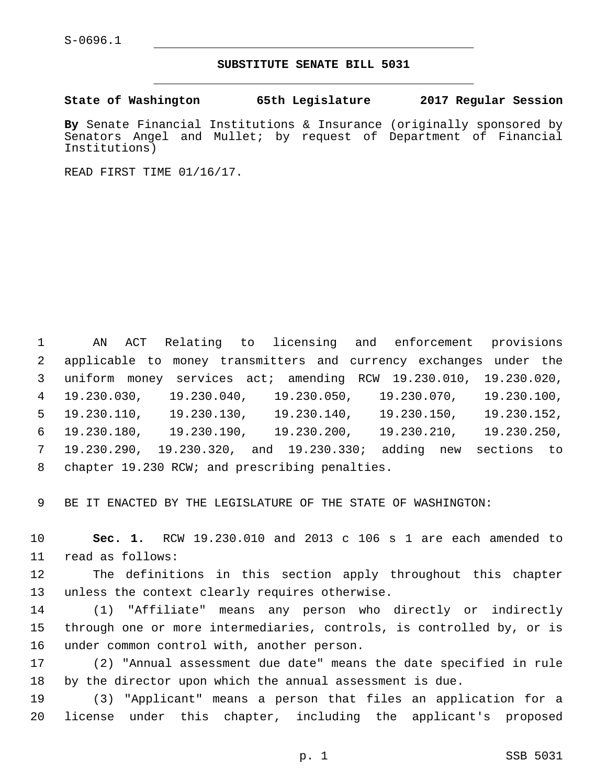## **SUBSTITUTE SENATE BILL 5031**

**State of Washington 65th Legislature 2017 Regular Session**

**By** Senate Financial Institutions & Insurance (originally sponsored by Senators Angel and Mullet; by request of Department of Financial Institutions)

READ FIRST TIME 01/16/17.

 AN ACT Relating to licensing and enforcement provisions applicable to money transmitters and currency exchanges under the uniform money services act; amending RCW 19.230.010, 19.230.020, 19.230.030, 19.230.040, 19.230.050, 19.230.070, 19.230.100, 19.230.110, 19.230.130, 19.230.140, 19.230.150, 19.230.152, 19.230.180, 19.230.190, 19.230.200, 19.230.210, 19.230.250, 19.230.290, 19.230.320, and 19.230.330; adding new sections to 8 chapter 19.230 RCW; and prescribing penalties.

9 BE IT ENACTED BY THE LEGISLATURE OF THE STATE OF WASHINGTON:

10 **Sec. 1.** RCW 19.230.010 and 2013 c 106 s 1 are each amended to 11 read as follows:

12 The definitions in this section apply throughout this chapter 13 unless the context clearly requires otherwise.

14 (1) "Affiliate" means any person who directly or indirectly 15 through one or more intermediaries, controls, is controlled by, or is 16 under common control with, another person.

17 (2) "Annual assessment due date" means the date specified in rule 18 by the director upon which the annual assessment is due.

19 (3) "Applicant" means a person that files an application for a 20 license under this chapter, including the applicant's proposed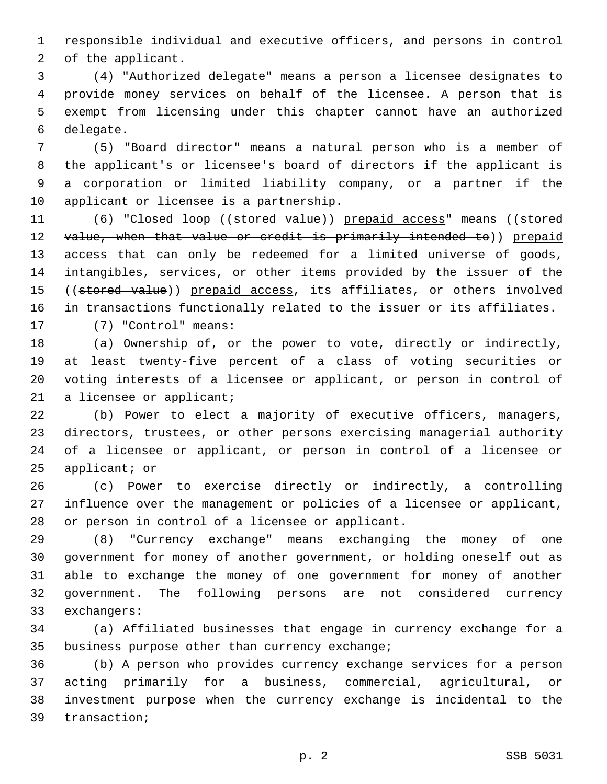responsible individual and executive officers, and persons in control 2 of the applicant.

 (4) "Authorized delegate" means a person a licensee designates to provide money services on behalf of the licensee. A person that is exempt from licensing under this chapter cannot have an authorized 6 delegate.

 (5) "Board director" means a natural person who is a member of the applicant's or licensee's board of directors if the applicant is a corporation or limited liability company, or a partner if the 10 applicant or licensee is a partnership.

11 (6) "Closed loop ((stored value)) prepaid access" means ((stored 12 value, when that value or credit is primarily intended to)) prepaid 13 access that can only be redeemed for a limited universe of goods, intangibles, services, or other items provided by the issuer of the 15 ((stored value)) prepaid access, its affiliates, or others involved in transactions functionally related to the issuer or its affiliates. 17 (7) "Control" means:

 (a) Ownership of, or the power to vote, directly or indirectly, at least twenty-five percent of a class of voting securities or voting interests of a licensee or applicant, or person in control of 21 a licensee or applicant;

 (b) Power to elect a majority of executive officers, managers, directors, trustees, or other persons exercising managerial authority of a licensee or applicant, or person in control of a licensee or applicant; or

 (c) Power to exercise directly or indirectly, a controlling influence over the management or policies of a licensee or applicant, 28 or person in control of a licensee or applicant.

 (8) "Currency exchange" means exchanging the money of one government for money of another government, or holding oneself out as able to exchange the money of one government for money of another government. The following persons are not considered currency 33 exchangers:

 (a) Affiliated businesses that engage in currency exchange for a 35 business purpose other than currency exchange;

 (b) A person who provides currency exchange services for a person acting primarily for a business, commercial, agricultural, or investment purpose when the currency exchange is incidental to the 39 transaction;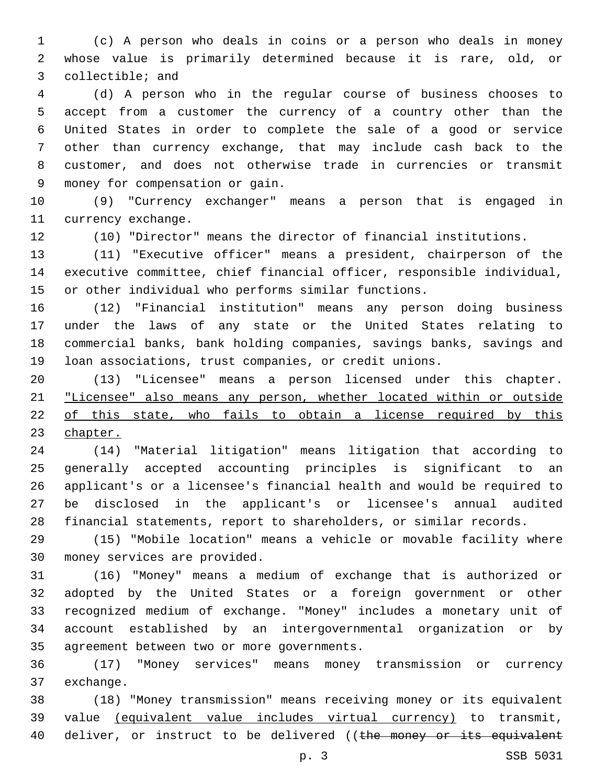(c) A person who deals in coins or a person who deals in money whose value is primarily determined because it is rare, old, or 3 collectible; and

 (d) A person who in the regular course of business chooses to accept from a customer the currency of a country other than the United States in order to complete the sale of a good or service other than currency exchange, that may include cash back to the customer, and does not otherwise trade in currencies or transmit money for compensation or gain.9

 (9) "Currency exchanger" means a person that is engaged in 11 currency exchange.

(10) "Director" means the director of financial institutions.

 (11) "Executive officer" means a president, chairperson of the executive committee, chief financial officer, responsible individual, or other individual who performs similar functions.

 (12) "Financial institution" means any person doing business under the laws of any state or the United States relating to commercial banks, bank holding companies, savings banks, savings and loan associations, trust companies, or credit unions.

 (13) "Licensee" means a person licensed under this chapter. "Licensee" also means any person, whether located within or outside of this state, who fails to obtain a license required by this chapter.

 (14) "Material litigation" means litigation that according to generally accepted accounting principles is significant to an applicant's or a licensee's financial health and would be required to be disclosed in the applicant's or licensee's annual audited financial statements, report to shareholders, or similar records.

 (15) "Mobile location" means a vehicle or movable facility where 30 money services are provided.

 (16) "Money" means a medium of exchange that is authorized or adopted by the United States or a foreign government or other recognized medium of exchange. "Money" includes a monetary unit of account established by an intergovernmental organization or by 35 agreement between two or more governments.

 (17) "Money services" means money transmission or currency 37 exchange.

 (18) "Money transmission" means receiving money or its equivalent value (equivalent value includes virtual currency) to transmit, 40 deliver, or instruct to be delivered ((the money or its equivalent

p. 3 SSB 5031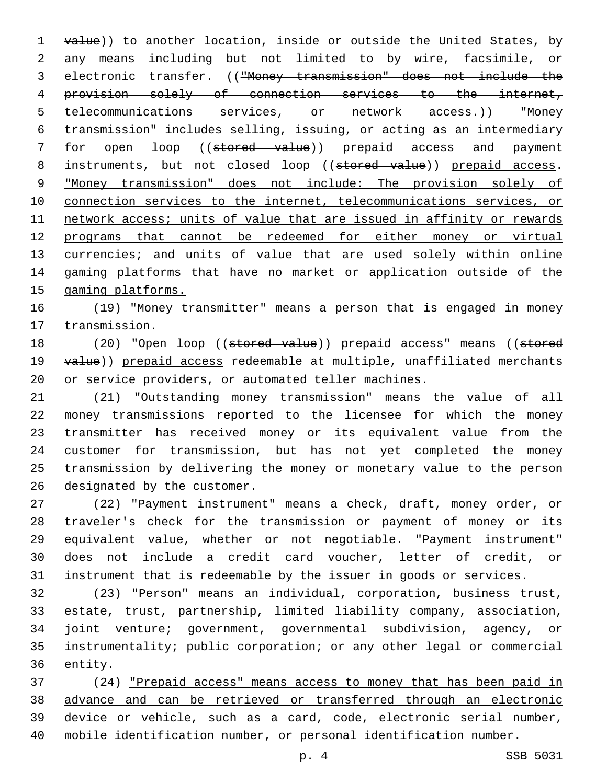1 value)) to another location, inside or outside the United States, by any means including but not limited to by wire, facsimile, or electronic transfer. (("Money transmission" does not include the provision solely of connection services to the internet, telecommunications services, or network access.)) "Money transmission" includes selling, issuing, or acting as an intermediary 7 for open loop ((stored value)) prepaid access and payment 8 instruments, but not closed loop ((stored value)) prepaid access. "Money transmission" does not include: The provision solely of connection services to the internet, telecommunications services, or network access; units of value that are issued in affinity or rewards programs that cannot be redeemed for either money or virtual 13 currencies; and units of value that are used solely within online gaming platforms that have no market or application outside of the gaming platforms.

 (19) "Money transmitter" means a person that is engaged in money 17 transmission.

18 (20) "Open loop ((stored value)) prepaid access" means ((stored 19 value)) prepaid access redeemable at multiple, unaffiliated merchants or service providers, or automated teller machines.

 (21) "Outstanding money transmission" means the value of all money transmissions reported to the licensee for which the money transmitter has received money or its equivalent value from the customer for transmission, but has not yet completed the money transmission by delivering the money or monetary value to the person 26 designated by the customer.

 (22) "Payment instrument" means a check, draft, money order, or traveler's check for the transmission or payment of money or its equivalent value, whether or not negotiable. "Payment instrument" does not include a credit card voucher, letter of credit, or instrument that is redeemable by the issuer in goods or services.

 (23) "Person" means an individual, corporation, business trust, estate, trust, partnership, limited liability company, association, joint venture; government, governmental subdivision, agency, or instrumentality; public corporation; or any other legal or commercial 36 entity.

 (24) "Prepaid access" means access to money that has been paid in advance and can be retrieved or transferred through an electronic device or vehicle, such as a card, code, electronic serial number, mobile identification number, or personal identification number.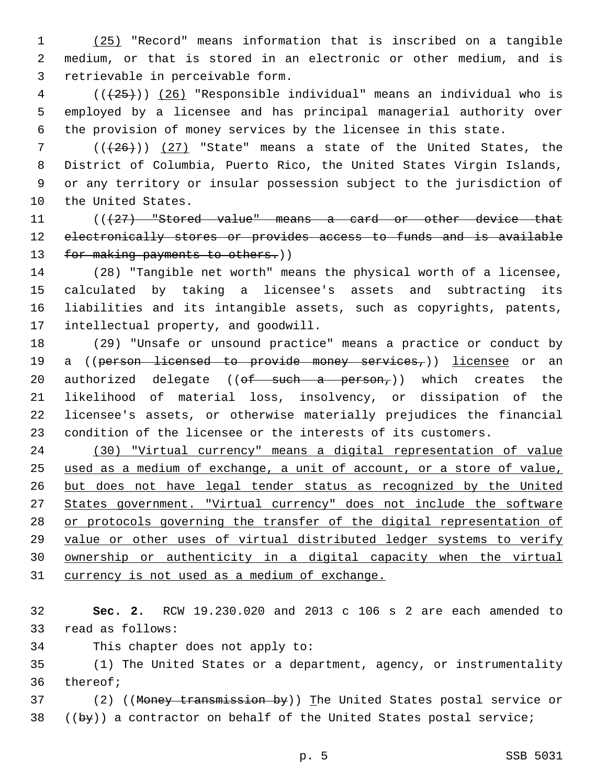(25) "Record" means information that is inscribed on a tangible medium, or that is stored in an electronic or other medium, and is 3 retrievable in perceivable form.

 ( $(\overline{25})$ ) (26) "Responsible individual" means an individual who is employed by a licensee and has principal managerial authority over the provision of money services by the licensee in this state.

 $((+26))$  (27) "State" means a state of the United States, the District of Columbia, Puerto Rico, the United States Virgin Islands, or any territory or insular possession subject to the jurisdiction of 10 the United States.

11 (((427) "Stored value" means a card or other device that 12 electronically stores or provides access to funds and is available 13 for making payments to others.))

 (28) "Tangible net worth" means the physical worth of a licensee, calculated by taking a licensee's assets and subtracting its liabilities and its intangible assets, such as copyrights, patents, 17 intellectual property, and goodwill.

 (29) "Unsafe or unsound practice" means a practice or conduct by 19 a ((person licensed to provide money services,)) licensee or an 20 authorized delegate (( $\theta f$  such a person,)) which creates the likelihood of material loss, insolvency, or dissipation of the licensee's assets, or otherwise materially prejudices the financial condition of the licensee or the interests of its customers.

 (30) "Virtual currency" means a digital representation of value used as a medium of exchange, a unit of account, or a store of value, but does not have legal tender status as recognized by the United States government. "Virtual currency" does not include the software or protocols governing the transfer of the digital representation of value or other uses of virtual distributed ledger systems to verify ownership or authenticity in a digital capacity when the virtual 31 currency is not used as a medium of exchange.

 **Sec. 2.** RCW 19.230.020 and 2013 c 106 s 2 are each amended to 33 read as follows:

34 This chapter does not apply to:

 (1) The United States or a department, agency, or instrumentality 36 thereof;

37 (2) ((Money transmission by)) The United States postal service or ((by)) a contractor on behalf of the United States postal service;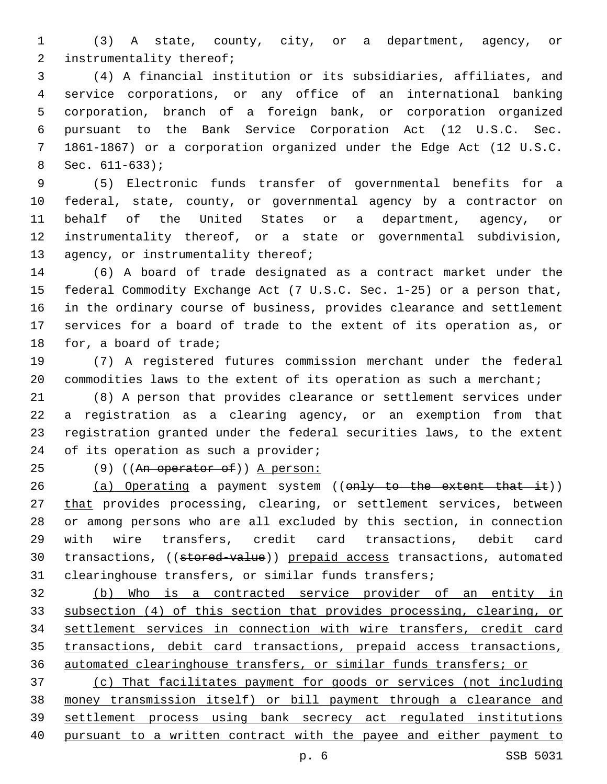(3) A state, county, city, or a department, agency, or 2 instrumentality thereof;

 (4) A financial institution or its subsidiaries, affiliates, and service corporations, or any office of an international banking corporation, branch of a foreign bank, or corporation organized pursuant to the Bank Service Corporation Act (12 U.S.C. Sec. 1861-1867) or a corporation organized under the Edge Act (12 U.S.C. Sec.  $611-633$ ;

 (5) Electronic funds transfer of governmental benefits for a federal, state, county, or governmental agency by a contractor on behalf of the United States or a department, agency, or instrumentality thereof, or a state or governmental subdivision, 13 agency, or instrumentality thereof;

 (6) A board of trade designated as a contract market under the federal Commodity Exchange Act (7 U.S.C. Sec. 1-25) or a person that, in the ordinary course of business, provides clearance and settlement services for a board of trade to the extent of its operation as, or 18 for, a board of trade;

 (7) A registered futures commission merchant under the federal 20 commodities laws to the extent of its operation as such a merchant;

 (8) A person that provides clearance or settlement services under a registration as a clearing agency, or an exemption from that registration granted under the federal securities laws, to the extent 24 of its operation as such a provider;

25 (9) ((An operator of)) A person:

26 (a) Operating a payment system ((only to the extent that it)) 27 that provides processing, clearing, or settlement services, between or among persons who are all excluded by this section, in connection with wire transfers, credit card transactions, debit card 30 transactions, ((stored-value)) prepaid access transactions, automated clearinghouse transfers, or similar funds transfers;

 (b) Who is a contracted service provider of an entity in subsection (4) of this section that provides processing, clearing, or settlement services in connection with wire transfers, credit card transactions, debit card transactions, prepaid access transactions, automated clearinghouse transfers, or similar funds transfers; or

 (c) That facilitates payment for goods or services (not including money transmission itself) or bill payment through a clearance and settlement process using bank secrecy act regulated institutions pursuant to a written contract with the payee and either payment to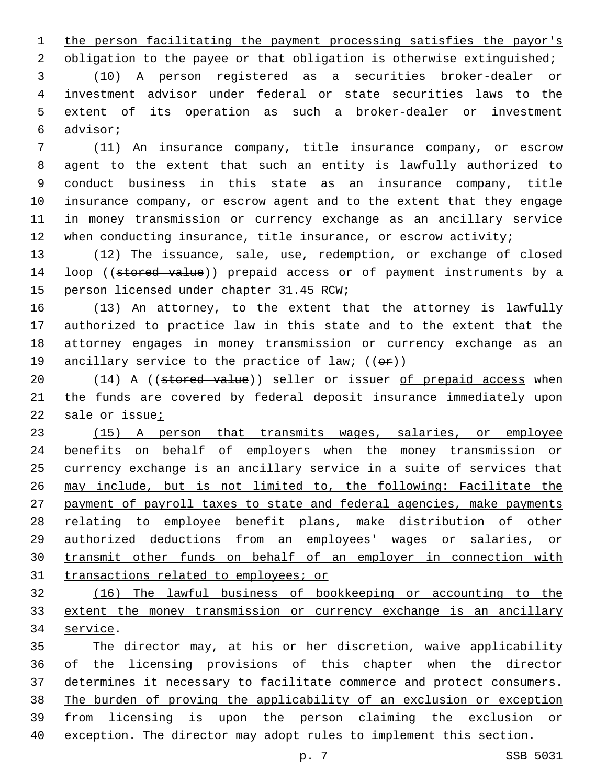1 the person facilitating the payment processing satisfies the payor's

2 obligation to the payee or that obligation is otherwise extinguished;

 (10) A person registered as a securities broker-dealer or investment advisor under federal or state securities laws to the extent of its operation as such a broker-dealer or investment advisor;6

 (11) An insurance company, title insurance company, or escrow agent to the extent that such an entity is lawfully authorized to conduct business in this state as an insurance company, title insurance company, or escrow agent and to the extent that they engage in money transmission or currency exchange as an ancillary service 12 when conducting insurance, title insurance, or escrow activity;

 (12) The issuance, sale, use, redemption, or exchange of closed 14 loop ((stored value)) prepaid access or of payment instruments by a 15 person licensed under chapter 31.45 RCW;

 (13) An attorney, to the extent that the attorney is lawfully authorized to practice law in this state and to the extent that the attorney engages in money transmission or currency exchange as an 19 ancillary service to the practice of law;  $((\theta \cdot \hat{r}))$ 

20 (14) A ((stored value)) seller or issuer of prepaid access when the funds are covered by federal deposit insurance immediately upon sale or issue;

 (15) A person that transmits wages, salaries, or employee benefits on behalf of employers when the money transmission or currency exchange is an ancillary service in a suite of services that may include, but is not limited to, the following: Facilitate the payment of payroll taxes to state and federal agencies, make payments relating to employee benefit plans, make distribution of other authorized deductions from an employees' wages or salaries, or transmit other funds on behalf of an employer in connection with 31 transactions related to employees; or

 (16) The lawful business of bookkeeping or accounting to the extent the money transmission or currency exchange is an ancillary 34 service.

 The director may, at his or her discretion, waive applicability of the licensing provisions of this chapter when the director determines it necessary to facilitate commerce and protect consumers. The burden of proving the applicability of an exclusion or exception from licensing is upon the person claiming the exclusion or exception. The director may adopt rules to implement this section.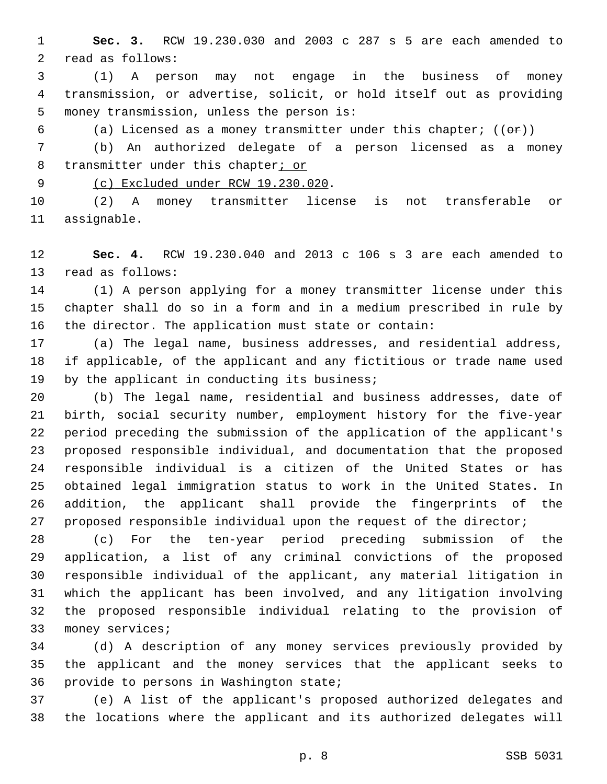**Sec. 3.** RCW 19.230.030 and 2003 c 287 s 5 are each amended to 2 read as follows:

 (1) A person may not engage in the business of money transmission, or advertise, solicit, or hold itself out as providing 5 money transmission, unless the person is:

6 (a) Licensed as a money transmitter under this chapter;  $((\theta \cdot \hat{r}))$ 

 (b) An authorized delegate of a person licensed as a money 8 transmitter under this chapter; or

9 (c) Excluded under RCW 19.230.020.

 (2) A money transmitter license is not transferable or 11 assignable.

 **Sec. 4.** RCW 19.230.040 and 2013 c 106 s 3 are each amended to 13 read as follows:

 (1) A person applying for a money transmitter license under this chapter shall do so in a form and in a medium prescribed in rule by the director. The application must state or contain:

 (a) The legal name, business addresses, and residential address, if applicable, of the applicant and any fictitious or trade name used 19 by the applicant in conducting its business;

 (b) The legal name, residential and business addresses, date of birth, social security number, employment history for the five-year period preceding the submission of the application of the applicant's proposed responsible individual, and documentation that the proposed responsible individual is a citizen of the United States or has obtained legal immigration status to work in the United States. In addition, the applicant shall provide the fingerprints of the 27 proposed responsible individual upon the request of the director;

 (c) For the ten-year period preceding submission of the application, a list of any criminal convictions of the proposed responsible individual of the applicant, any material litigation in which the applicant has been involved, and any litigation involving the proposed responsible individual relating to the provision of 33 money services;

 (d) A description of any money services previously provided by the applicant and the money services that the applicant seeks to 36 provide to persons in Washington state;

 (e) A list of the applicant's proposed authorized delegates and the locations where the applicant and its authorized delegates will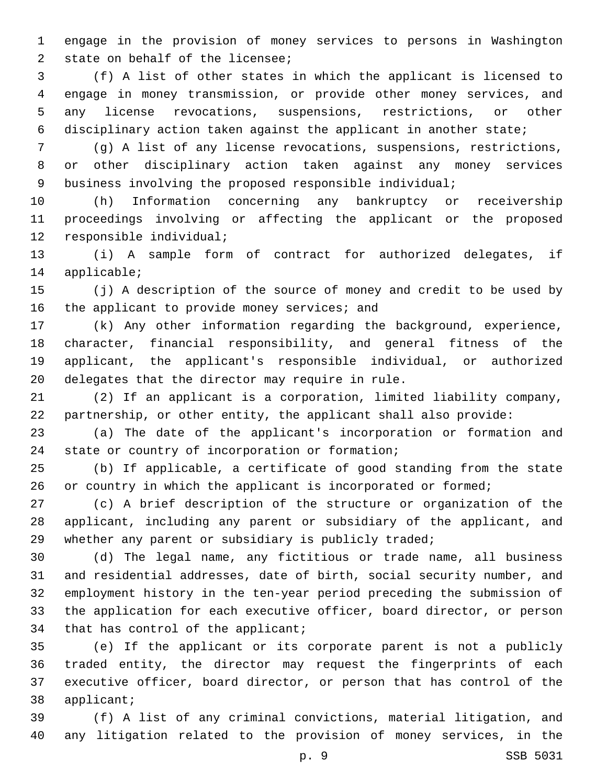engage in the provision of money services to persons in Washington 2 state on behalf of the licensee;

 (f) A list of other states in which the applicant is licensed to engage in money transmission, or provide other money services, and any license revocations, suspensions, restrictions, or other disciplinary action taken against the applicant in another state;

 (g) A list of any license revocations, suspensions, restrictions, or other disciplinary action taken against any money services business involving the proposed responsible individual;

 (h) Information concerning any bankruptcy or receivership proceedings involving or affecting the applicant or the proposed 12 responsible individual;

 (i) A sample form of contract for authorized delegates, if 14 applicable;

 (j) A description of the source of money and credit to be used by 16 the applicant to provide money services; and

 (k) Any other information regarding the background, experience, character, financial responsibility, and general fitness of the applicant, the applicant's responsible individual, or authorized 20 delegates that the director may require in rule.

 (2) If an applicant is a corporation, limited liability company, partnership, or other entity, the applicant shall also provide:

 (a) The date of the applicant's incorporation or formation and 24 state or country of incorporation or formation;

 (b) If applicable, a certificate of good standing from the state 26 or country in which the applicant is incorporated or formed;

 (c) A brief description of the structure or organization of the applicant, including any parent or subsidiary of the applicant, and 29 whether any parent or subsidiary is publicly traded;

 (d) The legal name, any fictitious or trade name, all business and residential addresses, date of birth, social security number, and employment history in the ten-year period preceding the submission of the application for each executive officer, board director, or person 34 that has control of the applicant;

 (e) If the applicant or its corporate parent is not a publicly traded entity, the director may request the fingerprints of each executive officer, board director, or person that has control of the 38 applicant;

 (f) A list of any criminal convictions, material litigation, and any litigation related to the provision of money services, in the

p. 9 SSB 5031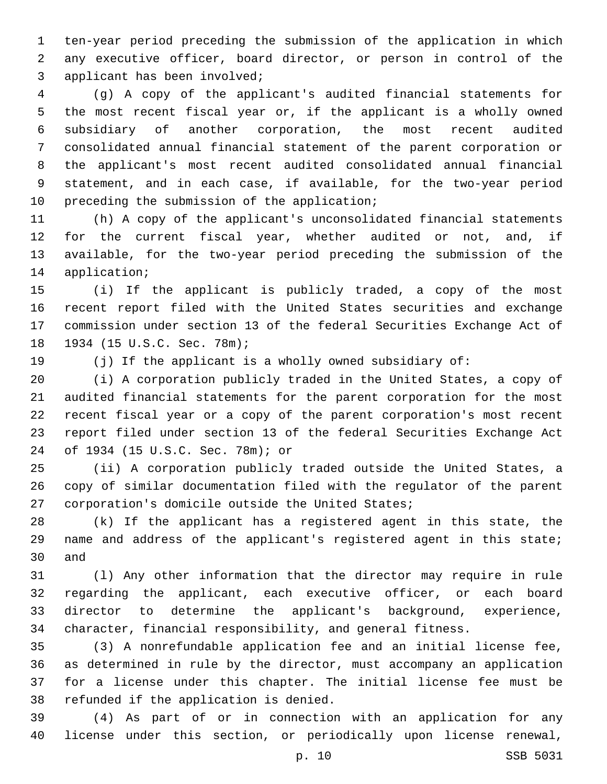ten-year period preceding the submission of the application in which any executive officer, board director, or person in control of the 3 applicant has been involved;

 (g) A copy of the applicant's audited financial statements for the most recent fiscal year or, if the applicant is a wholly owned subsidiary of another corporation, the most recent audited consolidated annual financial statement of the parent corporation or the applicant's most recent audited consolidated annual financial statement, and in each case, if available, for the two-year period 10 preceding the submission of the application;

 (h) A copy of the applicant's unconsolidated financial statements for the current fiscal year, whether audited or not, and, if available, for the two-year period preceding the submission of the 14 application;

 (i) If the applicant is publicly traded, a copy of the most recent report filed with the United States securities and exchange commission under section 13 of the federal Securities Exchange Act of 18 1934 (15 U.S.C. Sec. 78m);

(j) If the applicant is a wholly owned subsidiary of:

 (i) A corporation publicly traded in the United States, a copy of audited financial statements for the parent corporation for the most recent fiscal year or a copy of the parent corporation's most recent report filed under section 13 of the federal Securities Exchange Act of 1934 (15 U.S.C. Sec. 78m); or24

 (ii) A corporation publicly traded outside the United States, a copy of similar documentation filed with the regulator of the parent 27 corporation's domicile outside the United States;

 (k) If the applicant has a registered agent in this state, the 29 name and address of the applicant's registered agent in this state; 30 and

 (l) Any other information that the director may require in rule regarding the applicant, each executive officer, or each board director to determine the applicant's background, experience, character, financial responsibility, and general fitness.

 (3) A nonrefundable application fee and an initial license fee, as determined in rule by the director, must accompany an application for a license under this chapter. The initial license fee must be 38 refunded if the application is denied.

 (4) As part of or in connection with an application for any license under this section, or periodically upon license renewal,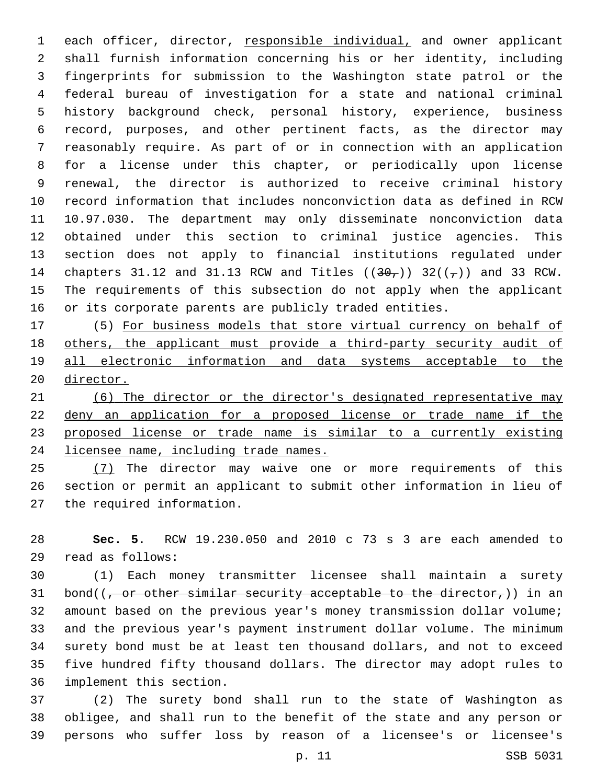each officer, director, responsible individual, and owner applicant shall furnish information concerning his or her identity, including fingerprints for submission to the Washington state patrol or the federal bureau of investigation for a state and national criminal history background check, personal history, experience, business record, purposes, and other pertinent facts, as the director may reasonably require. As part of or in connection with an application for a license under this chapter, or periodically upon license renewal, the director is authorized to receive criminal history record information that includes nonconviction data as defined in RCW 10.97.030. The department may only disseminate nonconviction data obtained under this section to criminal justice agencies. This section does not apply to financial institutions regulated under 14 chapters 31.12 and 31.13 RCW and Titles  $((30<sub>7</sub>))$  32( $(\frac{1}{7})$ ) and 33 RCW. The requirements of this subsection do not apply when the applicant or its corporate parents are publicly traded entities.

 (5) For business models that store virtual currency on behalf of others, the applicant must provide a third-party security audit of all electronic information and data systems acceptable to the director.

 (6) The director or the director's designated representative may deny an application for a proposed license or trade name if the proposed license or trade name is similar to a currently existing licensee name, including trade names.

25 (7) The director may waive one or more requirements of this section or permit an applicant to submit other information in lieu of 27 the required information.

 **Sec. 5.** RCW 19.230.050 and 2010 c 73 s 3 are each amended to read as follows:29

 (1) Each money transmitter licensee shall maintain a surety 31 bond( $(-$  or other similar security acceptable to the director,)) in an amount based on the previous year's money transmission dollar volume; and the previous year's payment instrument dollar volume. The minimum surety bond must be at least ten thousand dollars, and not to exceed five hundred fifty thousand dollars. The director may adopt rules to 36 implement this section.

 (2) The surety bond shall run to the state of Washington as obligee, and shall run to the benefit of the state and any person or persons who suffer loss by reason of a licensee's or licensee's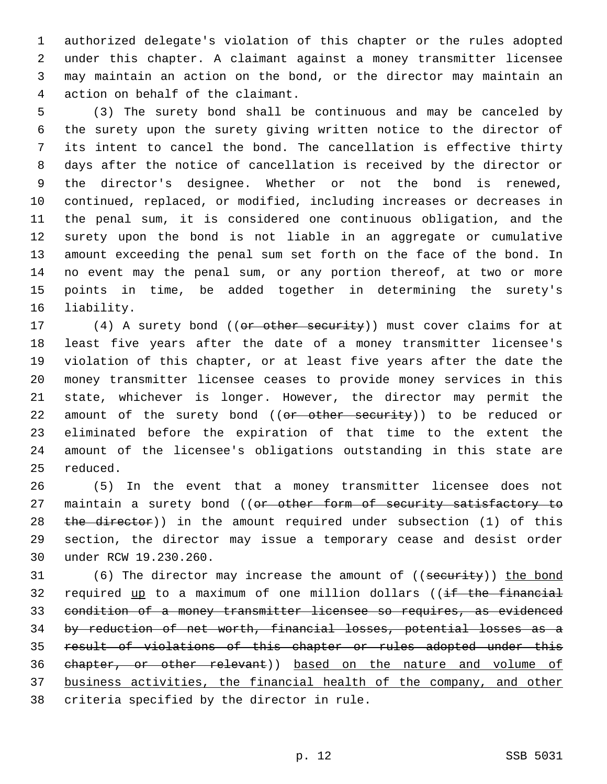authorized delegate's violation of this chapter or the rules adopted under this chapter. A claimant against a money transmitter licensee may maintain an action on the bond, or the director may maintain an 4 action on behalf of the claimant.

 (3) The surety bond shall be continuous and may be canceled by the surety upon the surety giving written notice to the director of its intent to cancel the bond. The cancellation is effective thirty days after the notice of cancellation is received by the director or the director's designee. Whether or not the bond is renewed, continued, replaced, or modified, including increases or decreases in the penal sum, it is considered one continuous obligation, and the surety upon the bond is not liable in an aggregate or cumulative amount exceeding the penal sum set forth on the face of the bond. In no event may the penal sum, or any portion thereof, at two or more points in time, be added together in determining the surety's 16 liability.

17 (4) A surety bond ((or other security)) must cover claims for at least five years after the date of a money transmitter licensee's violation of this chapter, or at least five years after the date the money transmitter licensee ceases to provide money services in this state, whichever is longer. However, the director may permit the 22 amount of the surety bond ((or other security)) to be reduced or eliminated before the expiration of that time to the extent the amount of the licensee's obligations outstanding in this state are 25 reduced.

 (5) In the event that a money transmitter licensee does not 27 maintain a surety bond ((or other form of security satisfactory to 28 the director)) in the amount required under subsection (1) of this section, the director may issue a temporary cease and desist order 30 under RCW 19.230.260.

31 (6) The director may increase the amount of ((security)) the bond 32 required up to a maximum of one million dollars ((if the financial condition of a money transmitter licensee so requires, as evidenced by reduction of net worth, financial losses, potential losses as a result of violations of this chapter or rules adopted under this chapter, or other relevant)) based on the nature and volume of business activities, the financial health of the company, and other 38 criteria specified by the director in rule.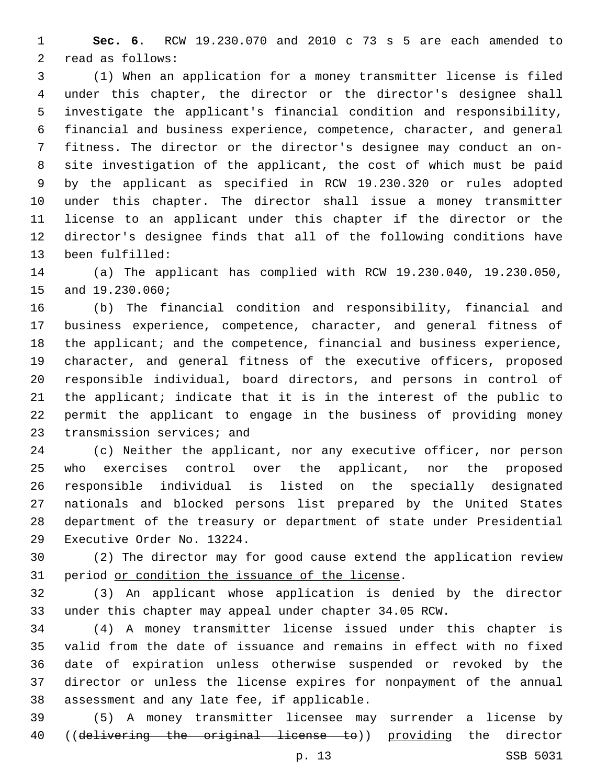**Sec. 6.** RCW 19.230.070 and 2010 c 73 s 5 are each amended to 2 read as follows:

 (1) When an application for a money transmitter license is filed under this chapter, the director or the director's designee shall investigate the applicant's financial condition and responsibility, financial and business experience, competence, character, and general fitness. The director or the director's designee may conduct an on- site investigation of the applicant, the cost of which must be paid by the applicant as specified in RCW 19.230.320 or rules adopted under this chapter. The director shall issue a money transmitter license to an applicant under this chapter if the director or the director's designee finds that all of the following conditions have 13 been fulfilled:

 (a) The applicant has complied with RCW 19.230.040, 19.230.050, 15 and 19.230.060;

 (b) The financial condition and responsibility, financial and business experience, competence, character, and general fitness of 18 the applicant; and the competence, financial and business experience, character, and general fitness of the executive officers, proposed responsible individual, board directors, and persons in control of the applicant; indicate that it is in the interest of the public to permit the applicant to engage in the business of providing money 23 transmission services; and

 (c) Neither the applicant, nor any executive officer, nor person who exercises control over the applicant, nor the proposed responsible individual is listed on the specially designated nationals and blocked persons list prepared by the United States department of the treasury or department of state under Presidential 29 Executive Order No. 13224.

 (2) The director may for good cause extend the application review 31 period or condition the issuance of the license.

 (3) An applicant whose application is denied by the director under this chapter may appeal under chapter 34.05 RCW.

 (4) A money transmitter license issued under this chapter is valid from the date of issuance and remains in effect with no fixed date of expiration unless otherwise suspended or revoked by the director or unless the license expires for nonpayment of the annual 38 assessment and any late fee, if applicable.

 (5) A money transmitter licensee may surrender a license by 40 ((delivering the original license to)) providing the director

p. 13 SSB 5031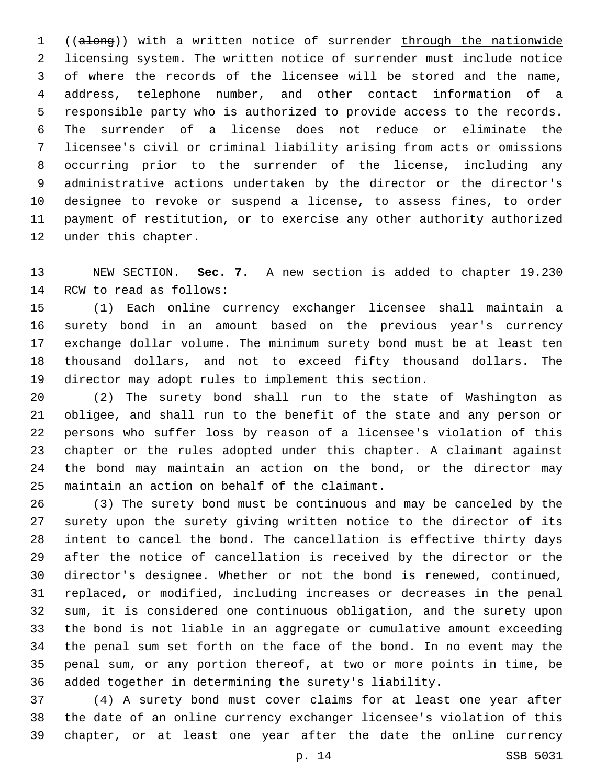((along)) with a written notice of surrender through the nationwide 2 licensing system. The written notice of surrender must include notice of where the records of the licensee will be stored and the name, address, telephone number, and other contact information of a responsible party who is authorized to provide access to the records. The surrender of a license does not reduce or eliminate the licensee's civil or criminal liability arising from acts or omissions occurring prior to the surrender of the license, including any administrative actions undertaken by the director or the director's designee to revoke or suspend a license, to assess fines, to order payment of restitution, or to exercise any other authority authorized 12 under this chapter.

 NEW SECTION. **Sec. 7.** A new section is added to chapter 19.230 14 RCW to read as follows:

 (1) Each online currency exchanger licensee shall maintain a surety bond in an amount based on the previous year's currency exchange dollar volume. The minimum surety bond must be at least ten thousand dollars, and not to exceed fifty thousand dollars. The director may adopt rules to implement this section.

 (2) The surety bond shall run to the state of Washington as obligee, and shall run to the benefit of the state and any person or persons who suffer loss by reason of a licensee's violation of this chapter or the rules adopted under this chapter. A claimant against the bond may maintain an action on the bond, or the director may 25 maintain an action on behalf of the claimant.

 (3) The surety bond must be continuous and may be canceled by the surety upon the surety giving written notice to the director of its intent to cancel the bond. The cancellation is effective thirty days after the notice of cancellation is received by the director or the director's designee. Whether or not the bond is renewed, continued, replaced, or modified, including increases or decreases in the penal sum, it is considered one continuous obligation, and the surety upon the bond is not liable in an aggregate or cumulative amount exceeding the penal sum set forth on the face of the bond. In no event may the penal sum, or any portion thereof, at two or more points in time, be added together in determining the surety's liability.

 (4) A surety bond must cover claims for at least one year after the date of an online currency exchanger licensee's violation of this chapter, or at least one year after the date the online currency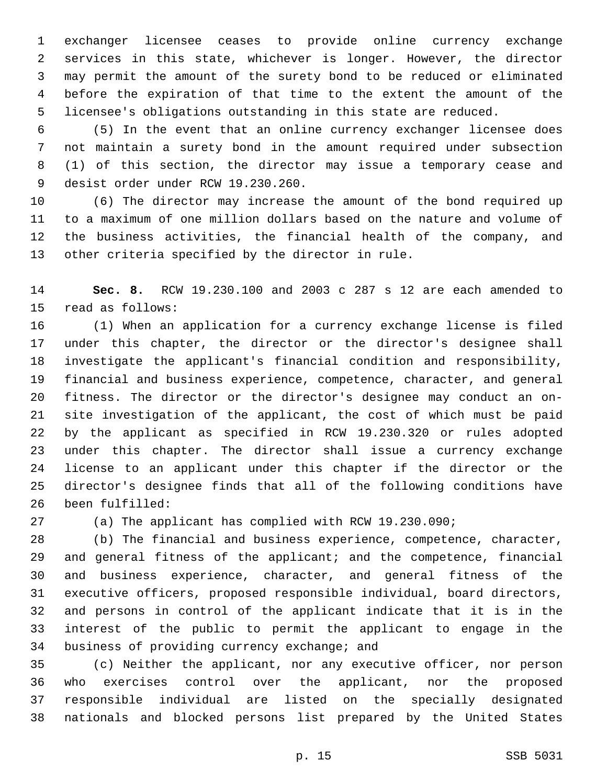exchanger licensee ceases to provide online currency exchange services in this state, whichever is longer. However, the director may permit the amount of the surety bond to be reduced or eliminated before the expiration of that time to the extent the amount of the licensee's obligations outstanding in this state are reduced.

 (5) In the event that an online currency exchanger licensee does not maintain a surety bond in the amount required under subsection (1) of this section, the director may issue a temporary cease and 9 desist order under RCW 19.230.260.

 (6) The director may increase the amount of the bond required up to a maximum of one million dollars based on the nature and volume of the business activities, the financial health of the company, and 13 other criteria specified by the director in rule.

 **Sec. 8.** RCW 19.230.100 and 2003 c 287 s 12 are each amended to 15 read as follows:

 (1) When an application for a currency exchange license is filed under this chapter, the director or the director's designee shall investigate the applicant's financial condition and responsibility, financial and business experience, competence, character, and general fitness. The director or the director's designee may conduct an on- site investigation of the applicant, the cost of which must be paid by the applicant as specified in RCW 19.230.320 or rules adopted under this chapter. The director shall issue a currency exchange license to an applicant under this chapter if the director or the director's designee finds that all of the following conditions have 26 been fulfilled:

(a) The applicant has complied with RCW 19.230.090;

 (b) The financial and business experience, competence, character, and general fitness of the applicant; and the competence, financial and business experience, character, and general fitness of the executive officers, proposed responsible individual, board directors, and persons in control of the applicant indicate that it is in the interest of the public to permit the applicant to engage in the 34 business of providing currency exchange; and

 (c) Neither the applicant, nor any executive officer, nor person who exercises control over the applicant, nor the proposed responsible individual are listed on the specially designated nationals and blocked persons list prepared by the United States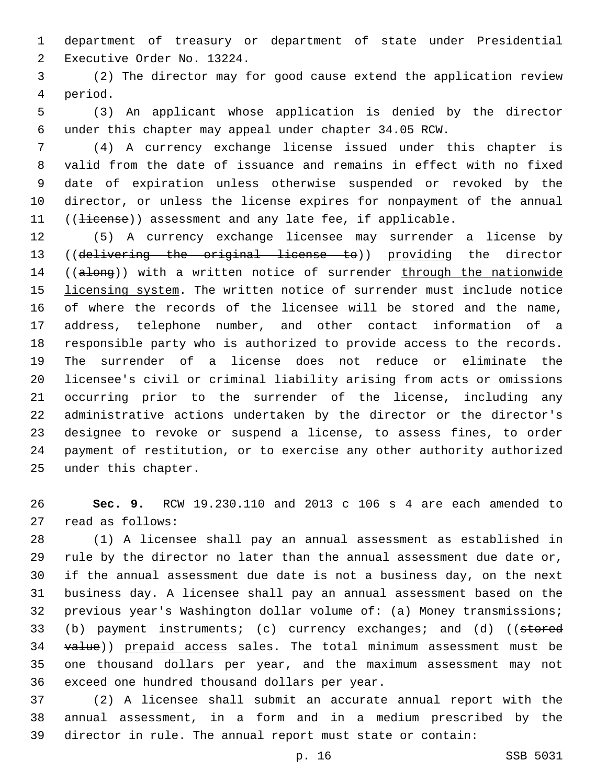department of treasury or department of state under Presidential 2 Executive Order No. 13224.

 (2) The director may for good cause extend the application review 4 period.

 (3) An applicant whose application is denied by the director under this chapter may appeal under chapter 34.05 RCW.

 (4) A currency exchange license issued under this chapter is valid from the date of issuance and remains in effect with no fixed date of expiration unless otherwise suspended or revoked by the director, or unless the license expires for nonpayment of the annual 11 ((<del>license</del>)) assessment and any late fee, if applicable.

 (5) A currency exchange licensee may surrender a license by ((delivering the original license to)) providing the director 14 ((along)) with a written notice of surrender through the nationwide licensing system. The written notice of surrender must include notice of where the records of the licensee will be stored and the name, address, telephone number, and other contact information of a responsible party who is authorized to provide access to the records. The surrender of a license does not reduce or eliminate the licensee's civil or criminal liability arising from acts or omissions occurring prior to the surrender of the license, including any administrative actions undertaken by the director or the director's designee to revoke or suspend a license, to assess fines, to order payment of restitution, or to exercise any other authority authorized 25 under this chapter.

 **Sec. 9.** RCW 19.230.110 and 2013 c 106 s 4 are each amended to 27 read as follows:

 (1) A licensee shall pay an annual assessment as established in rule by the director no later than the annual assessment due date or, if the annual assessment due date is not a business day, on the next business day. A licensee shall pay an annual assessment based on the previous year's Washington dollar volume of: (a) Money transmissions; 33 (b) payment instruments; (c) currency exchanges; and (d) ((stored 34 value)) prepaid access sales. The total minimum assessment must be one thousand dollars per year, and the maximum assessment may not 36 exceed one hundred thousand dollars per year.

 (2) A licensee shall submit an accurate annual report with the annual assessment, in a form and in a medium prescribed by the director in rule. The annual report must state or contain: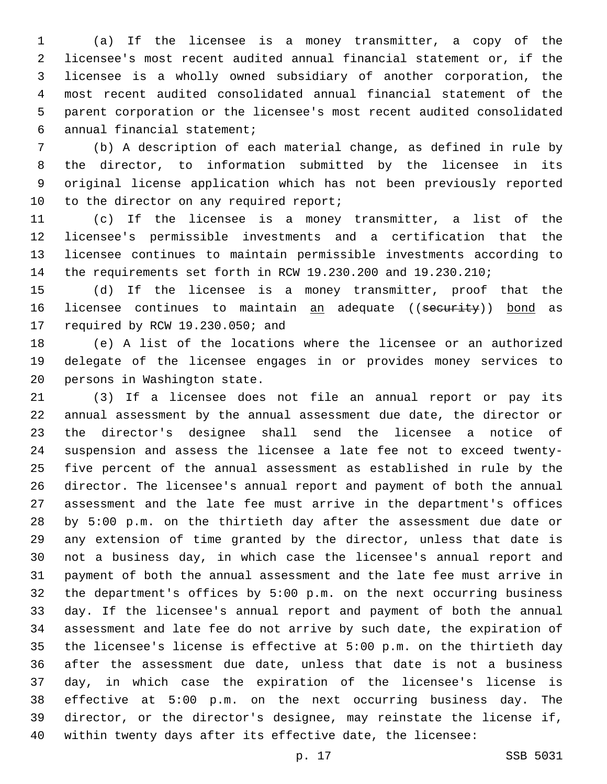(a) If the licensee is a money transmitter, a copy of the licensee's most recent audited annual financial statement or, if the licensee is a wholly owned subsidiary of another corporation, the most recent audited consolidated annual financial statement of the parent corporation or the licensee's most recent audited consolidated annual financial statement;6

 (b) A description of each material change, as defined in rule by the director, to information submitted by the licensee in its original license application which has not been previously reported 10 to the director on any required report;

 (c) If the licensee is a money transmitter, a list of the licensee's permissible investments and a certification that the licensee continues to maintain permissible investments according to the requirements set forth in RCW 19.230.200 and 19.230.210;

 (d) If the licensee is a money transmitter, proof that the 16 licensee continues to maintain an adequate ((security)) bond as 17 required by RCW 19.230.050; and

 (e) A list of the locations where the licensee or an authorized delegate of the licensee engages in or provides money services to 20 persons in Washington state.

 (3) If a licensee does not file an annual report or pay its annual assessment by the annual assessment due date, the director or the director's designee shall send the licensee a notice of suspension and assess the licensee a late fee not to exceed twenty- five percent of the annual assessment as established in rule by the director. The licensee's annual report and payment of both the annual assessment and the late fee must arrive in the department's offices by 5:00 p.m. on the thirtieth day after the assessment due date or any extension of time granted by the director, unless that date is not a business day, in which case the licensee's annual report and payment of both the annual assessment and the late fee must arrive in the department's offices by 5:00 p.m. on the next occurring business day. If the licensee's annual report and payment of both the annual assessment and late fee do not arrive by such date, the expiration of the licensee's license is effective at 5:00 p.m. on the thirtieth day after the assessment due date, unless that date is not a business day, in which case the expiration of the licensee's license is effective at 5:00 p.m. on the next occurring business day. The director, or the director's designee, may reinstate the license if, within twenty days after its effective date, the licensee: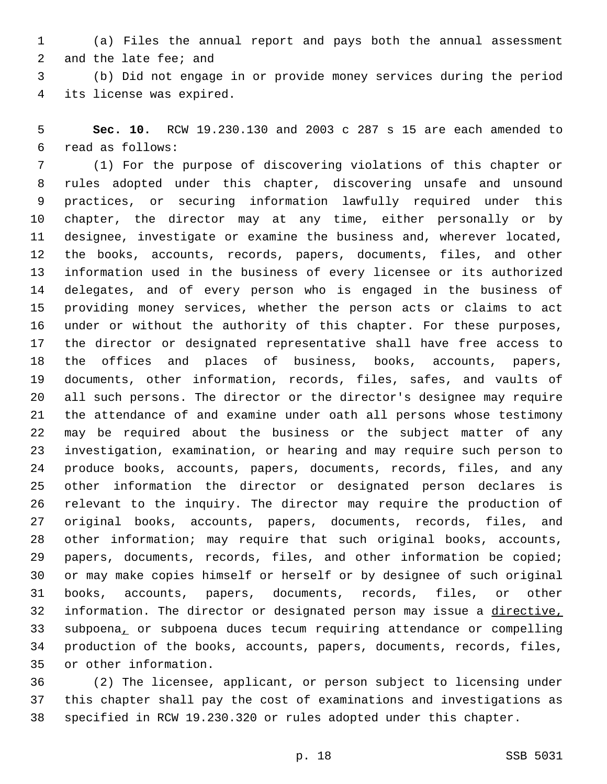(a) Files the annual report and pays both the annual assessment 2 and the late fee; and

 (b) Did not engage in or provide money services during the period 4 its license was expired.

 **Sec. 10.** RCW 19.230.130 and 2003 c 287 s 15 are each amended to read as follows:6

 (1) For the purpose of discovering violations of this chapter or rules adopted under this chapter, discovering unsafe and unsound practices, or securing information lawfully required under this chapter, the director may at any time, either personally or by designee, investigate or examine the business and, wherever located, the books, accounts, records, papers, documents, files, and other information used in the business of every licensee or its authorized delegates, and of every person who is engaged in the business of providing money services, whether the person acts or claims to act under or without the authority of this chapter. For these purposes, the director or designated representative shall have free access to the offices and places of business, books, accounts, papers, documents, other information, records, files, safes, and vaults of all such persons. The director or the director's designee may require the attendance of and examine under oath all persons whose testimony may be required about the business or the subject matter of any investigation, examination, or hearing and may require such person to produce books, accounts, papers, documents, records, files, and any other information the director or designated person declares is relevant to the inquiry. The director may require the production of original books, accounts, papers, documents, records, files, and other information; may require that such original books, accounts, papers, documents, records, files, and other information be copied; or may make copies himself or herself or by designee of such original books, accounts, papers, documents, records, files, or other information. The director or designated person may issue a directive, subpoena, or subpoena duces tecum requiring attendance or compelling production of the books, accounts, papers, documents, records, files, 35 or other information.

 (2) The licensee, applicant, or person subject to licensing under this chapter shall pay the cost of examinations and investigations as specified in RCW 19.230.320 or rules adopted under this chapter.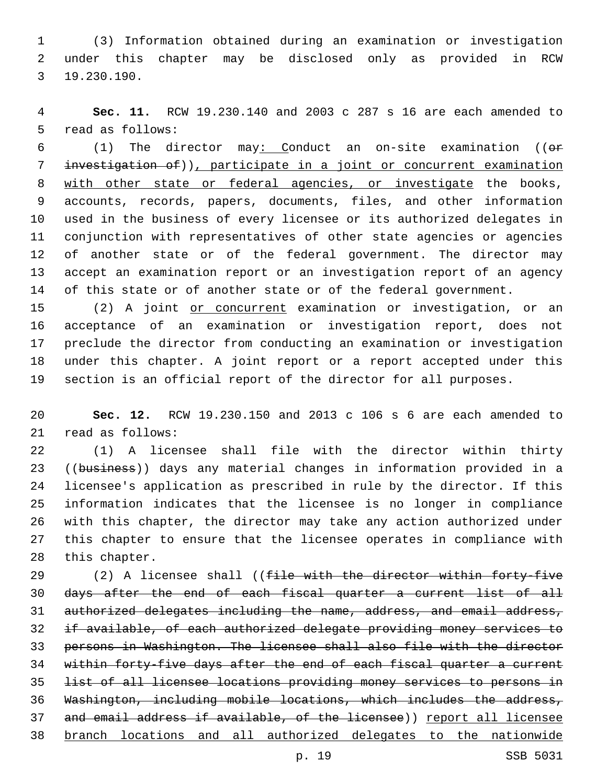(3) Information obtained during an examination or investigation under this chapter may be disclosed only as provided in RCW 19.230.190.3

 **Sec. 11.** RCW 19.230.140 and 2003 c 287 s 16 are each amended to 5 read as follows:

 (1) The director may: Conduct an on-site examination ((or investigation of)), participate in a joint or concurrent examination with other state or federal agencies, or investigate the books, accounts, records, papers, documents, files, and other information used in the business of every licensee or its authorized delegates in conjunction with representatives of other state agencies or agencies of another state or of the federal government. The director may accept an examination report or an investigation report of an agency of this state or of another state or of the federal government.

15 (2) A joint or concurrent examination or investigation, or an acceptance of an examination or investigation report, does not preclude the director from conducting an examination or investigation under this chapter. A joint report or a report accepted under this section is an official report of the director for all purposes.

 **Sec. 12.** RCW 19.230.150 and 2013 c 106 s 6 are each amended to 21 read as follows:

 (1) A licensee shall file with the director within thirty 23 ((business)) days any material changes in information provided in a licensee's application as prescribed in rule by the director. If this information indicates that the licensee is no longer in compliance with this chapter, the director may take any action authorized under this chapter to ensure that the licensee operates in compliance with 28 this chapter.

29 (2) A licensee shall ((file with the director within forty-five days after the end of each fiscal quarter a current list of all authorized delegates including the name, address, and email address, if available, of each authorized delegate providing money services to persons in Washington. The licensee shall also file with the director 34 within forty-five days after the end of each fiscal quarter a current list of all licensee locations providing money services to persons in Washington, including mobile locations, which includes the address, 37 and email address if available, of the licensee)) report all licensee branch locations and all authorized delegates to the nationwide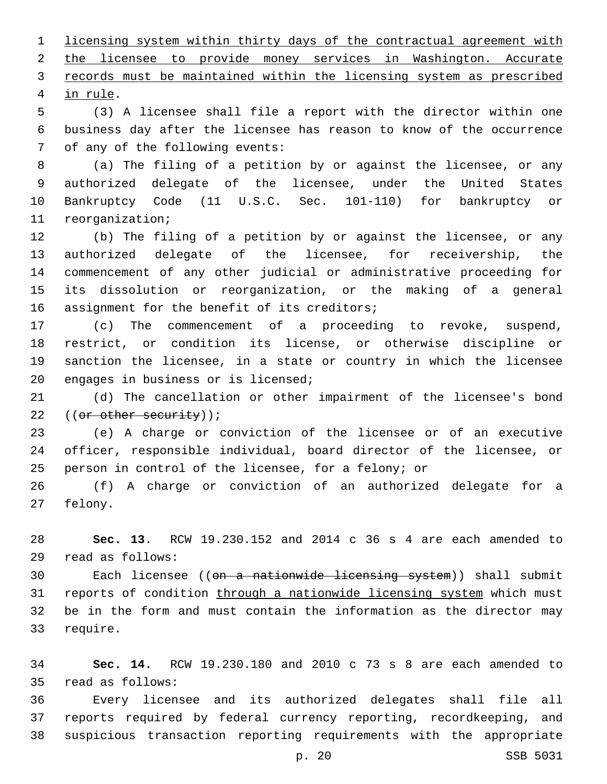licensing system within thirty days of the contractual agreement with the licensee to provide money services in Washington. Accurate records must be maintained within the licensing system as prescribed 4 in rule.

 (3) A licensee shall file a report with the director within one business day after the licensee has reason to know of the occurrence 7 of any of the following events:

 (a) The filing of a petition by or against the licensee, or any authorized delegate of the licensee, under the United States Bankruptcy Code (11 U.S.C. Sec. 101-110) for bankruptcy or 11 reorganization;

 (b) The filing of a petition by or against the licensee, or any authorized delegate of the licensee, for receivership, the commencement of any other judicial or administrative proceeding for its dissolution or reorganization, or the making of a general 16 assignment for the benefit of its creditors;

 (c) The commencement of a proceeding to revoke, suspend, restrict, or condition its license, or otherwise discipline or sanction the licensee, in a state or country in which the licensee 20 engages in business or is licensed;

 (d) The cancellation or other impairment of the licensee's bond 22 ((or other security));

 (e) A charge or conviction of the licensee or of an executive officer, responsible individual, board director of the licensee, or person in control of the licensee, for a felony; or

 (f) A charge or conviction of an authorized delegate for a 27 felony.

 **Sec. 13.** RCW 19.230.152 and 2014 c 36 s 4 are each amended to read as follows:29

30 Each licensee ((<del>on a nationwide licensing system</del>)) shall submit 31 reports of condition through a nationwide licensing system which must be in the form and must contain the information as the director may 33 require.

 **Sec. 14.** RCW 19.230.180 and 2010 c 73 s 8 are each amended to read as follows:35

 Every licensee and its authorized delegates shall file all reports required by federal currency reporting, recordkeeping, and suspicious transaction reporting requirements with the appropriate

p. 20 SSB 5031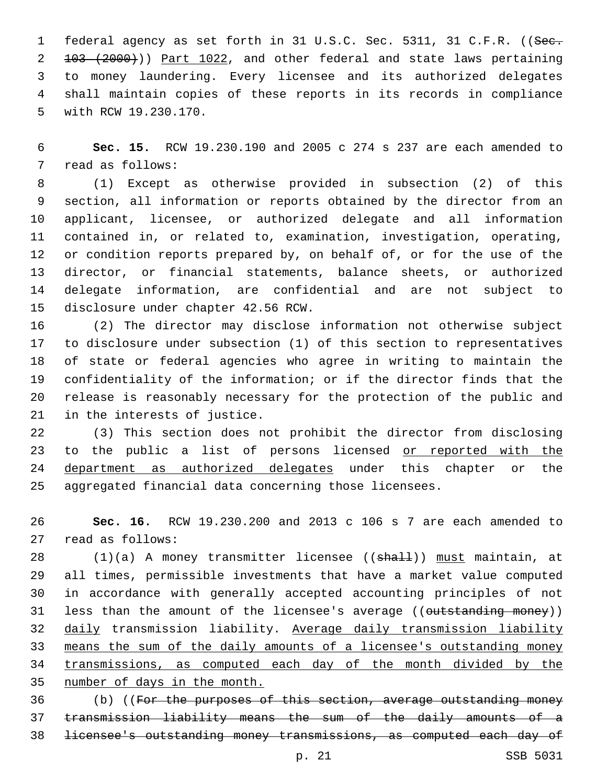1 federal agency as set forth in 31 U.S.C. Sec. 5311, 31 C.F.R. ((See. 103 (2000))) Part 1022, and other federal and state laws pertaining to money laundering. Every licensee and its authorized delegates shall maintain copies of these reports in its records in compliance 5 with RCW 19.230.170.

 **Sec. 15.** RCW 19.230.190 and 2005 c 274 s 237 are each amended to 7 read as follows:

 (1) Except as otherwise provided in subsection (2) of this section, all information or reports obtained by the director from an applicant, licensee, or authorized delegate and all information contained in, or related to, examination, investigation, operating, or condition reports prepared by, on behalf of, or for the use of the director, or financial statements, balance sheets, or authorized delegate information, are confidential and are not subject to 15 disclosure under chapter 42.56 RCW.

 (2) The director may disclose information not otherwise subject to disclosure under subsection (1) of this section to representatives of state or federal agencies who agree in writing to maintain the confidentiality of the information; or if the director finds that the release is reasonably necessary for the protection of the public and 21 in the interests of justice.

 (3) This section does not prohibit the director from disclosing 23 to the public a list of persons licensed or reported with the 24 department as authorized delegates under this chapter or the aggregated financial data concerning those licensees.

 **Sec. 16.** RCW 19.230.200 and 2013 c 106 s 7 are each amended to 27 read as follows:

28 (1)(a) A money transmitter licensee ((shall)) must maintain, at all times, permissible investments that have a market value computed in accordance with generally accepted accounting principles of not 31 less than the amount of the licensee's average ((outstanding money)) daily transmission liability. Average daily transmission liability means the sum of the daily amounts of a licensee's outstanding money transmissions, as computed each day of the month divided by the number of days in the month.

 (b) ((For the purposes of this section, average outstanding money transmission liability means the sum of the daily amounts of a licensee's outstanding money transmissions, as computed each day of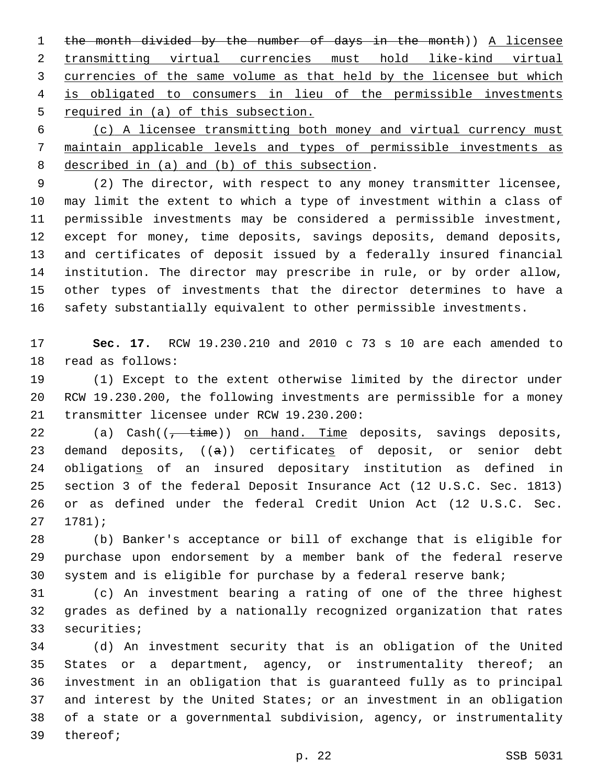the month divided by the number of days in the month)) A licensee transmitting virtual currencies must hold like-kind virtual currencies of the same volume as that held by the licensee but which is obligated to consumers in lieu of the permissible investments required in (a) of this subsection.

 (c) A licensee transmitting both money and virtual currency must maintain applicable levels and types of permissible investments as 8 described in (a) and (b) of this subsection.

 (2) The director, with respect to any money transmitter licensee, may limit the extent to which a type of investment within a class of permissible investments may be considered a permissible investment, except for money, time deposits, savings deposits, demand deposits, and certificates of deposit issued by a federally insured financial institution. The director may prescribe in rule, or by order allow, other types of investments that the director determines to have a safety substantially equivalent to other permissible investments.

 **Sec. 17.** RCW 19.230.210 and 2010 c 73 s 10 are each amended to 18 read as follows:

 (1) Except to the extent otherwise limited by the director under RCW 19.230.200, the following investments are permissible for a money 21 transmitter licensee under RCW 19.230.200:

22 (a) Cash((<del>, time</del>)) on hand. Time deposits, savings deposits, 23 demand deposits,  $((a))$  certificates of deposit, or senior debt obligations of an insured depositary institution as defined in section 3 of the federal Deposit Insurance Act (12 U.S.C. Sec. 1813) or as defined under the federal Credit Union Act (12 U.S.C. Sec.  $27 1781$ ;

 (b) Banker's acceptance or bill of exchange that is eligible for purchase upon endorsement by a member bank of the federal reserve system and is eligible for purchase by a federal reserve bank;

 (c) An investment bearing a rating of one of the three highest grades as defined by a nationally recognized organization that rates 33 securities;

 (d) An investment security that is an obligation of the United 35 States or a department, agency, or instrumentality thereof; an investment in an obligation that is guaranteed fully as to principal and interest by the United States; or an investment in an obligation of a state or a governmental subdivision, agency, or instrumentality 39 thereof;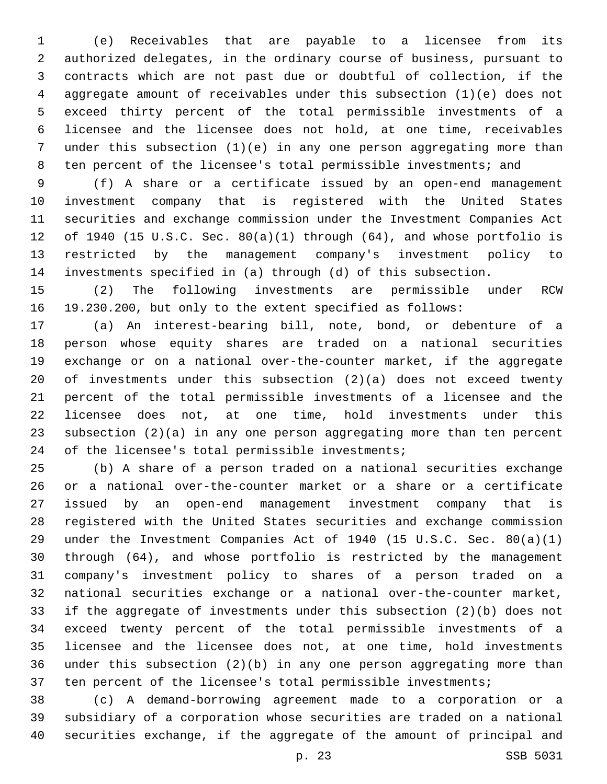(e) Receivables that are payable to a licensee from its authorized delegates, in the ordinary course of business, pursuant to contracts which are not past due or doubtful of collection, if the aggregate amount of receivables under this subsection (1)(e) does not exceed thirty percent of the total permissible investments of a licensee and the licensee does not hold, at one time, receivables under this subsection (1)(e) in any one person aggregating more than ten percent of the licensee's total permissible investments; and

 (f) A share or a certificate issued by an open-end management investment company that is registered with the United States securities and exchange commission under the Investment Companies Act of 1940 (15 U.S.C. Sec. 80(a)(1) through (64), and whose portfolio is restricted by the management company's investment policy to investments specified in (a) through (d) of this subsection.

 (2) The following investments are permissible under RCW 19.230.200, but only to the extent specified as follows:

 (a) An interest-bearing bill, note, bond, or debenture of a person whose equity shares are traded on a national securities exchange or on a national over-the-counter market, if the aggregate of investments under this subsection (2)(a) does not exceed twenty percent of the total permissible investments of a licensee and the licensee does not, at one time, hold investments under this subsection (2)(a) in any one person aggregating more than ten percent 24 of the licensee's total permissible investments;

 (b) A share of a person traded on a national securities exchange or a national over-the-counter market or a share or a certificate issued by an open-end management investment company that is registered with the United States securities and exchange commission under the Investment Companies Act of 1940 (15 U.S.C. Sec. 80(a)(1) through (64), and whose portfolio is restricted by the management company's investment policy to shares of a person traded on a national securities exchange or a national over-the-counter market, if the aggregate of investments under this subsection (2)(b) does not exceed twenty percent of the total permissible investments of a licensee and the licensee does not, at one time, hold investments under this subsection (2)(b) in any one person aggregating more than ten percent of the licensee's total permissible investments;

 (c) A demand-borrowing agreement made to a corporation or a subsidiary of a corporation whose securities are traded on a national securities exchange, if the aggregate of the amount of principal and

p. 23 SSB 5031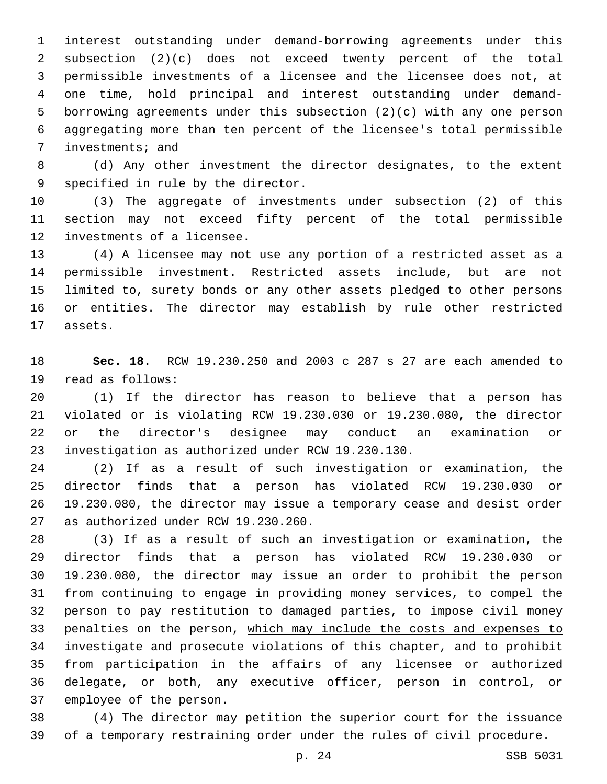interest outstanding under demand-borrowing agreements under this subsection (2)(c) does not exceed twenty percent of the total permissible investments of a licensee and the licensee does not, at one time, hold principal and interest outstanding under demand- borrowing agreements under this subsection (2)(c) with any one person aggregating more than ten percent of the licensee's total permissible 7 investments; and

 (d) Any other investment the director designates, to the extent 9 specified in rule by the director.

 (3) The aggregate of investments under subsection (2) of this section may not exceed fifty percent of the total permissible 12 investments of a licensee.

 (4) A licensee may not use any portion of a restricted asset as a permissible investment. Restricted assets include, but are not limited to, surety bonds or any other assets pledged to other persons or entities. The director may establish by rule other restricted 17 assets.

 **Sec. 18.** RCW 19.230.250 and 2003 c 287 s 27 are each amended to 19 read as follows:

 (1) If the director has reason to believe that a person has violated or is violating RCW 19.230.030 or 19.230.080, the director or the director's designee may conduct an examination or investigation as authorized under RCW 19.230.130.23

 (2) If as a result of such investigation or examination, the director finds that a person has violated RCW 19.230.030 or 19.230.080, the director may issue a temporary cease and desist order 27 as authorized under RCW 19.230.260.

 (3) If as a result of such an investigation or examination, the director finds that a person has violated RCW 19.230.030 or 19.230.080, the director may issue an order to prohibit the person from continuing to engage in providing money services, to compel the person to pay restitution to damaged parties, to impose civil money penalties on the person, which may include the costs and expenses to investigate and prosecute violations of this chapter, and to prohibit from participation in the affairs of any licensee or authorized delegate, or both, any executive officer, person in control, or 37 employee of the person.

 (4) The director may petition the superior court for the issuance of a temporary restraining order under the rules of civil procedure.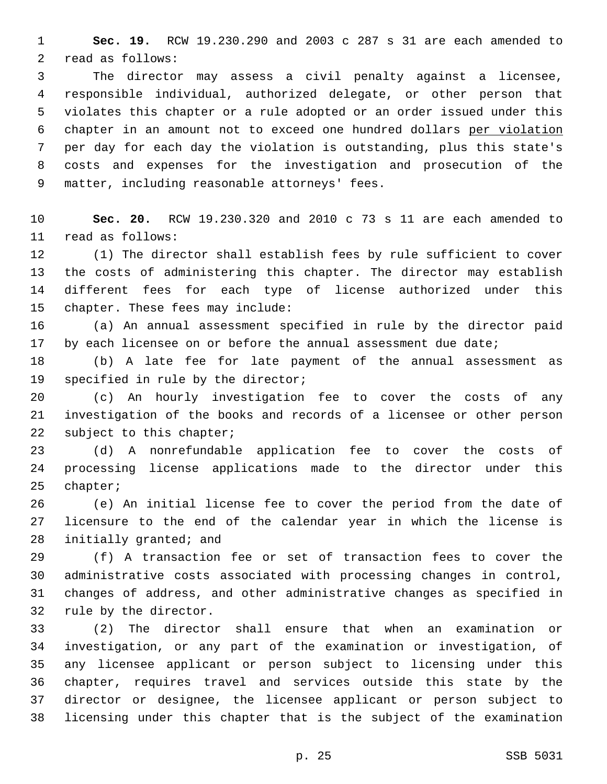**Sec. 19.** RCW 19.230.290 and 2003 c 287 s 31 are each amended to 2 read as follows:

 The director may assess a civil penalty against a licensee, responsible individual, authorized delegate, or other person that violates this chapter or a rule adopted or an order issued under this chapter in an amount not to exceed one hundred dollars per violation per day for each day the violation is outstanding, plus this state's costs and expenses for the investigation and prosecution of the 9 matter, including reasonable attorneys' fees.

 **Sec. 20.** RCW 19.230.320 and 2010 c 73 s 11 are each amended to read as follows:11

 (1) The director shall establish fees by rule sufficient to cover the costs of administering this chapter. The director may establish different fees for each type of license authorized under this 15 chapter. These fees may include:

 (a) An annual assessment specified in rule by the director paid 17 by each licensee on or before the annual assessment due date;

 (b) A late fee for late payment of the annual assessment as 19 specified in rule by the director;

 (c) An hourly investigation fee to cover the costs of any investigation of the books and records of a licensee or other person 22 subject to this chapter;

 (d) A nonrefundable application fee to cover the costs of processing license applications made to the director under this 25 chapter;

 (e) An initial license fee to cover the period from the date of licensure to the end of the calendar year in which the license is 28 initially granted; and

 (f) A transaction fee or set of transaction fees to cover the administrative costs associated with processing changes in control, changes of address, and other administrative changes as specified in 32 rule by the director.

 (2) The director shall ensure that when an examination or investigation, or any part of the examination or investigation, of any licensee applicant or person subject to licensing under this chapter, requires travel and services outside this state by the director or designee, the licensee applicant or person subject to licensing under this chapter that is the subject of the examination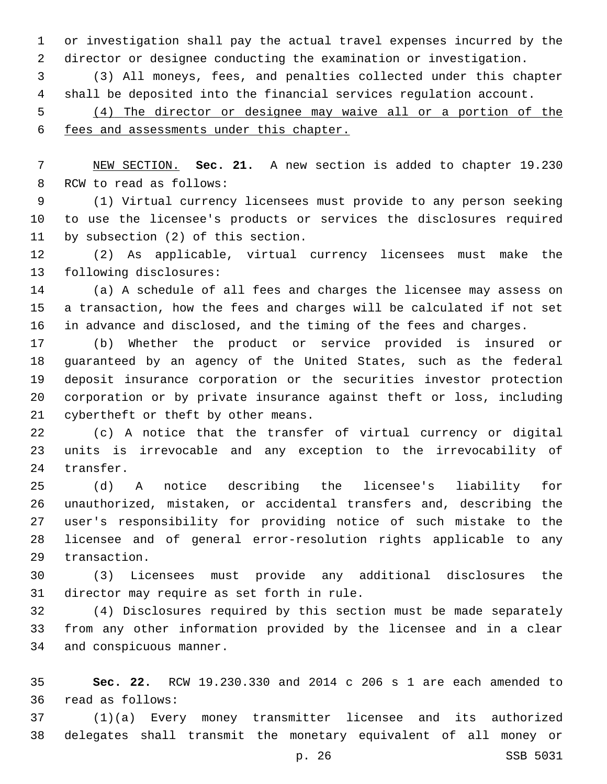or investigation shall pay the actual travel expenses incurred by the director or designee conducting the examination or investigation.

 (3) All moneys, fees, and penalties collected under this chapter shall be deposited into the financial services regulation account.

 (4) The director or designee may waive all or a portion of the fees and assessments under this chapter.

 NEW SECTION. **Sec. 21.** A new section is added to chapter 19.230 8 RCW to read as follows:

 (1) Virtual currency licensees must provide to any person seeking to use the licensee's products or services the disclosures required 11 by subsection (2) of this section.

 (2) As applicable, virtual currency licensees must make the 13 following disclosures:

 (a) A schedule of all fees and charges the licensee may assess on a transaction, how the fees and charges will be calculated if not set in advance and disclosed, and the timing of the fees and charges.

 (b) Whether the product or service provided is insured or guaranteed by an agency of the United States, such as the federal deposit insurance corporation or the securities investor protection corporation or by private insurance against theft or loss, including 21 cybertheft or theft by other means.

 (c) A notice that the transfer of virtual currency or digital units is irrevocable and any exception to the irrevocability of 24 transfer.

 (d) A notice describing the licensee's liability for unauthorized, mistaken, or accidental transfers and, describing the user's responsibility for providing notice of such mistake to the licensee and of general error-resolution rights applicable to any 29 transaction.

 (3) Licensees must provide any additional disclosures the 31 director may require as set forth in rule.

 (4) Disclosures required by this section must be made separately from any other information provided by the licensee and in a clear 34 and conspicuous manner.

 **Sec. 22.** RCW 19.230.330 and 2014 c 206 s 1 are each amended to read as follows:36

 (1)(a) Every money transmitter licensee and its authorized delegates shall transmit the monetary equivalent of all money or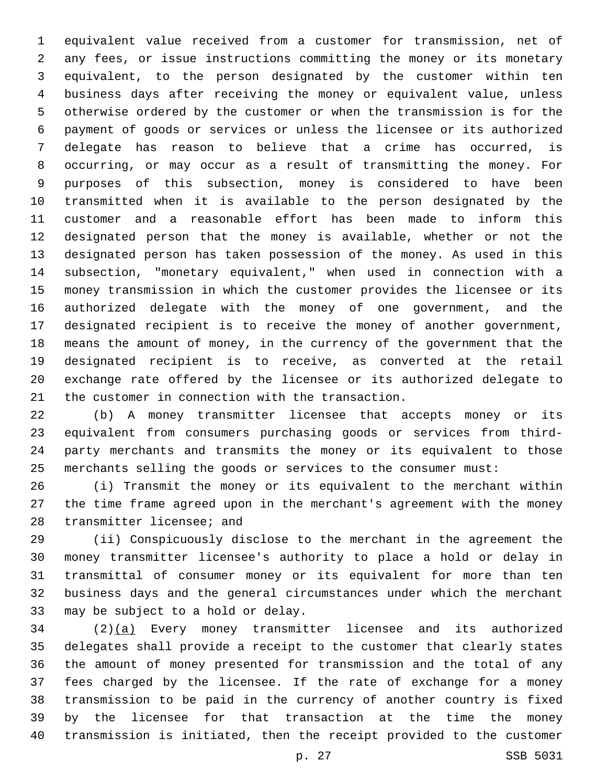equivalent value received from a customer for transmission, net of any fees, or issue instructions committing the money or its monetary equivalent, to the person designated by the customer within ten business days after receiving the money or equivalent value, unless otherwise ordered by the customer or when the transmission is for the payment of goods or services or unless the licensee or its authorized delegate has reason to believe that a crime has occurred, is occurring, or may occur as a result of transmitting the money. For purposes of this subsection, money is considered to have been transmitted when it is available to the person designated by the customer and a reasonable effort has been made to inform this designated person that the money is available, whether or not the designated person has taken possession of the money. As used in this subsection, "monetary equivalent," when used in connection with a money transmission in which the customer provides the licensee or its authorized delegate with the money of one government, and the designated recipient is to receive the money of another government, means the amount of money, in the currency of the government that the designated recipient is to receive, as converted at the retail exchange rate offered by the licensee or its authorized delegate to 21 the customer in connection with the transaction.

 (b) A money transmitter licensee that accepts money or its equivalent from consumers purchasing goods or services from third- party merchants and transmits the money or its equivalent to those merchants selling the goods or services to the consumer must:

 (i) Transmit the money or its equivalent to the merchant within the time frame agreed upon in the merchant's agreement with the money 28 transmitter licensee; and

 (ii) Conspicuously disclose to the merchant in the agreement the money transmitter licensee's authority to place a hold or delay in transmittal of consumer money or its equivalent for more than ten business days and the general circumstances under which the merchant 33 may be subject to a hold or delay.

 (2)(a) Every money transmitter licensee and its authorized delegates shall provide a receipt to the customer that clearly states the amount of money presented for transmission and the total of any fees charged by the licensee. If the rate of exchange for a money transmission to be paid in the currency of another country is fixed by the licensee for that transaction at the time the money transmission is initiated, then the receipt provided to the customer